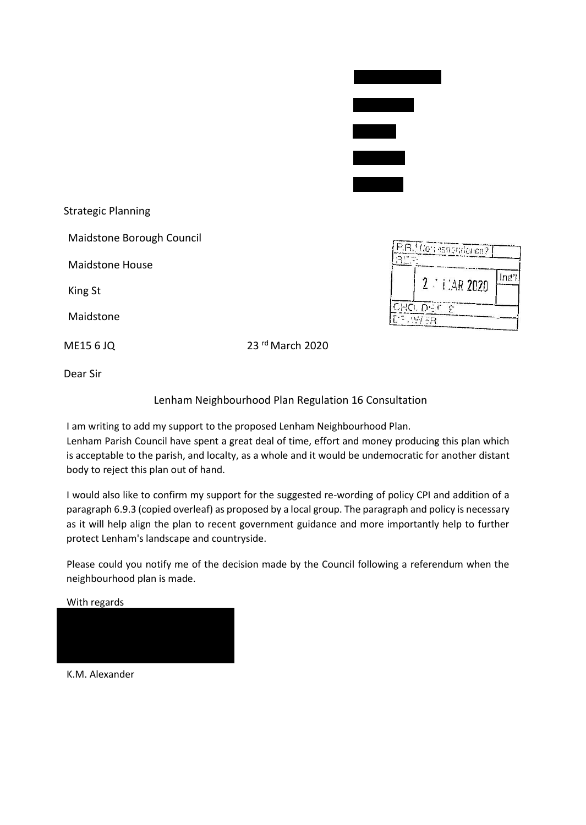| <b>Strategic Planning</b> |                  |
|---------------------------|------------------|
| Maidstone Borough Council |                  |
| Maidstone House           |                  |
| King St                   |                  |
| Maidstone                 |                  |
| ME15 6 JQ                 | 23 rd March 2020 |

| $2 \div i$ : AR 2020 |  |
|----------------------|--|

Dear Sir

Lenham Neighbourhood Plan Regulation 16 Consultation

I am writing to add my support to the proposed Lenham Neighbourhood Plan.

Lenham Parish Council have spent a great deal of time, effort and money producing this plan which is acceptable to the parish, and localty, as a whole and it would be undemocratic for another distant body to reject this plan out of hand.

I would also like to confirm my support for the suggested re-wording of policy CPI and addition of a paragraph 6.9.3 (copied overleaf) as proposed by a local group. The paragraph and policy is necessary as it will help align the plan to recent government guidance and more importantly help to further protect Lenham's landscape and countryside.

Please could you notify me of the decision made by the Council following a referendum when the neighbourhood plan is made.



K.M. Alexander